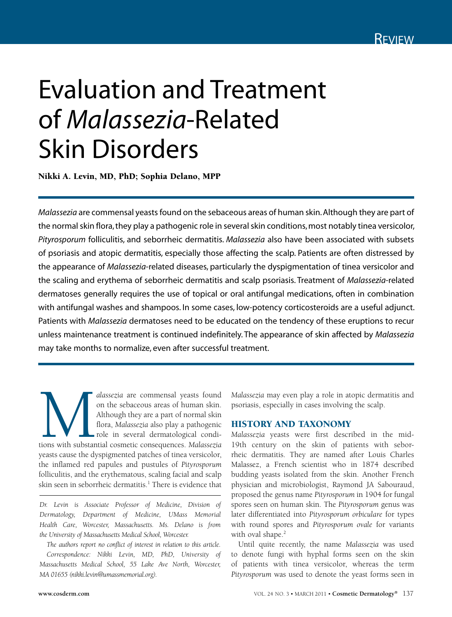## Evaluation and Treatment of *Malassezia*-Related Skin Disorders

Nikki A. Levin, MD, PhD; Sophia Delano, MPP

*Malassezia* are commensal yeasts found on the sebaceous areas of human skin. Although they are part of the normal skin flora, they play a pathogenic role in several skin conditions, most notably tinea versicolor, *Pityrosporum* folliculitis, and seborrheic dermatitis. *Malassezia* also have been associated with subsets of psoriasis and atopic dermatitis, especially those affecting the scalp. Patients are often distressed by the appearance of *Malassezia*-related diseases, particularly the dyspigmentation of tinea versicolor and the scaling and erythema of seborrheic dermatitis and scalp psoriasis. Treatment of *Malassezia*-related dermatoses generally requires the use of topical or oral antifungal medications, often in combination with antifungal washes and shampoos. In some cases, low-potency corticosteroids are a useful adjunct. Patients with *Malassezia* dermatoses need to be educated on the tendency of these eruptions to recur unless maintenance treatment is continued indefinitely. The appearance of skin affected by *Malassezia* may take months to normalize, even after successful treatment.

alassezia are commensal yeasts found<br>
on the sebaceous areas of human skin.<br>
Although they are a part of normal skin<br>
flora, *Malassezia* also play a pathogenic<br>
role in several dermatological condi-<br>
tions with substantia on the sebaceous areas of human skin. Although they are a part of normal skin flora, *Malassezia* also play a pathogenic role in several dermatological condiyeasts cause the dyspigmented patches of tinea versicolor, the inflamed red papules and pustules of *Pityrosporum* folliculitis, and the erythematous, scaling facial and scalp skin seen in seborrheic dermatitis.<sup>1</sup> There is evidence that

*Dr. Levin is Associate Professor of Medicine, Division of Dermatology, Department of Medicine, UMass Memorial Health Care, Worcester, Massachusetts. Ms. Delano is from the University of Massachusetts Medical School, Worcester.*

*The authors report no conflict of interest in relation to this article. Correspondence: Nikki Levin, MD, PhD, University of Massachusetts Medical School, 55 Lake Ave North, Worcester, MA 01655 (nikki.levin@umassmemorial.org).*

*Malassezia* may even play a role in atopic dermatitis and psoriasis, especially in cases involving the scalp.

## HISTORY AND TAXONOMY

*Malassezia* yeasts were first described in the mid-19th century on the skin of patients with seborrheic dermatitis. They are named after Louis Charles Malassez, a French scientist who in 1874 described budding yeasts isolated from the skin. Another French physician and microbiologist, Raymond JA Sabouraud, proposed the genus name *Pityrosporum* in 1904 for fungal spores seen on human skin. The *Pityrosporum* genus was later differentiated into *Pityrosporum orbiculare* for types with round spores and *Pityrosporum ovale* for variants with oval shape.<sup>2</sup>

Until quite recently, the name *Malassezia* was used to denote fungi with hyphal forms seen on the skin of patients with tinea versicolor, whereas the term *Pityrosporum* was used to denote the yeast forms seen in